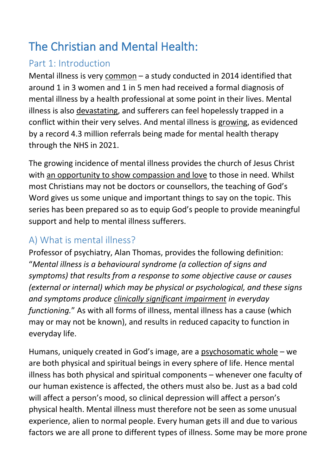# The Christian and Mental Health:

# Part 1: Introduction

Mental illness is very common – a study conducted in 2014 identified that around 1 in 3 women and 1 in 5 men had received a formal diagnosis of mental illness by a health professional at some point in their lives. Mental illness is also devastating, and sufferers can feel hopelessly trapped in a conflict within their very selves. And mental illness is growing, as evidenced by a record 4.3 million referrals being made for mental health therapy through the NHS in 2021.

The growing incidence of mental illness provides the church of Jesus Christ with an opportunity to show compassion and love to those in need. Whilst most Christians may not be doctors or counsellors, the teaching of God's Word gives us some unique and important things to say on the topic. This series has been prepared so as to equip God's people to provide meaningful support and help to mental illness sufferers.

# A) What is mental illness?

Professor of psychiatry, Alan Thomas, provides the following definition: "*Mental illness is a behavioural syndrome (a collection of signs and symptoms) that results from a response to some objective cause or causes (external or internal) which may be physical or psychological, and these signs and symptoms produce clinically significant impairment in everyday functioning.*" As with all forms of illness, mental illness has a cause (which may or may not be known), and results in reduced capacity to function in everyday life.

Humans, uniquely created in God's image, are a psychosomatic whole – we are both physical and spiritual beings in every sphere of life. Hence mental illness has both physical and spiritual components – whenever one faculty of our human existence is affected, the others must also be. Just as a bad cold will affect a person's mood, so clinical depression will affect a person's physical health. Mental illness must therefore not be seen as some unusual experience, alien to normal people. Every human gets ill and due to various factors we are all prone to different types of illness. Some may be more prone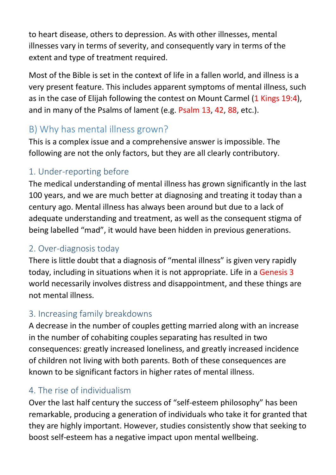to heart disease, others to depression. As with other illnesses, mental illnesses vary in terms of severity, and consequently vary in terms of the extent and type of treatment required.

Most of the Bible is set in the context of life in a fallen world, and illness is a very present feature. This includes apparent symptoms of mental illness, such as in the case of Elijah following the contest on Mount Carmel (1 Kings 19:4), and in many of the Psalms of lament (e.g. Psalm 13, 42, 88, etc.).

# B) Why has mental illness grown?

This is a complex issue and a comprehensive answer is impossible. The following are not the only factors, but they are all clearly contributory.

## 1. Under-reporting before

The medical understanding of mental illness has grown significantly in the last 100 years, and we are much better at diagnosing and treating it today than a century ago. Mental illness has always been around but due to a lack of adequate understanding and treatment, as well as the consequent stigma of being labelled "mad", it would have been hidden in previous generations.

### 2. Over-diagnosis today

There is little doubt that a diagnosis of "mental illness" is given very rapidly today, including in situations when it is not appropriate. Life in a Genesis 3 world necessarily involves distress and disappointment, and these things are not mental illness.

### 3. Increasing family breakdowns

A decrease in the number of couples getting married along with an increase in the number of cohabiting couples separating has resulted in two consequences: greatly increased loneliness, and greatly increased incidence of children not living with both parents. Both of these consequences are known to be significant factors in higher rates of mental illness.

### 4. The rise of individualism

Over the last half century the success of "self-esteem philosophy" has been remarkable, producing a generation of individuals who take it for granted that they are highly important. However, studies consistently show that seeking to boost self-esteem has a negative impact upon mental wellbeing.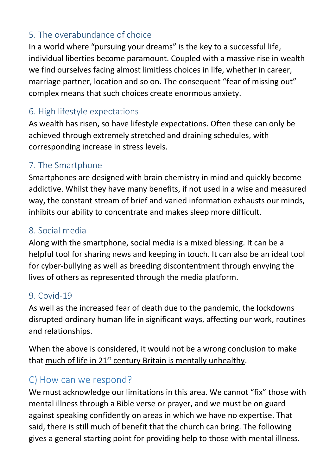## 5. The overabundance of choice

In a world where "pursuing your dreams" is the key to a successful life, individual liberties become paramount. Coupled with a massive rise in wealth we find ourselves facing almost limitless choices in life, whether in career, marriage partner, location and so on. The consequent "fear of missing out" complex means that such choices create enormous anxiety.

#### 6. High lifestyle expectations

As wealth has risen, so have lifestyle expectations. Often these can only be achieved through extremely stretched and draining schedules, with corresponding increase in stress levels.

### 7. The Smartphone

Smartphones are designed with brain chemistry in mind and quickly become addictive. Whilst they have many benefits, if not used in a wise and measured way, the constant stream of brief and varied information exhausts our minds, inhibits our ability to concentrate and makes sleep more difficult.

#### 8. Social media

Along with the smartphone, social media is a mixed blessing. It can be a helpful tool for sharing news and keeping in touch. It can also be an ideal tool for cyber-bullying as well as breeding discontentment through envying the lives of others as represented through the media platform.

#### 9. Covid-19

As well as the increased fear of death due to the pandemic, the lockdowns disrupted ordinary human life in significant ways, affecting our work, routines and relationships.

When the above is considered, it would not be a wrong conclusion to make that much of life in 21<sup>st</sup> century Britain is mentally unhealthy.

#### C) How can we respond?

We must acknowledge our limitations in this area. We cannot "fix" those with mental illness through a Bible verse or prayer, and we must be on guard against speaking confidently on areas in which we have no expertise. That said, there is still much of benefit that the church can bring. The following gives a general starting point for providing help to those with mental illness.